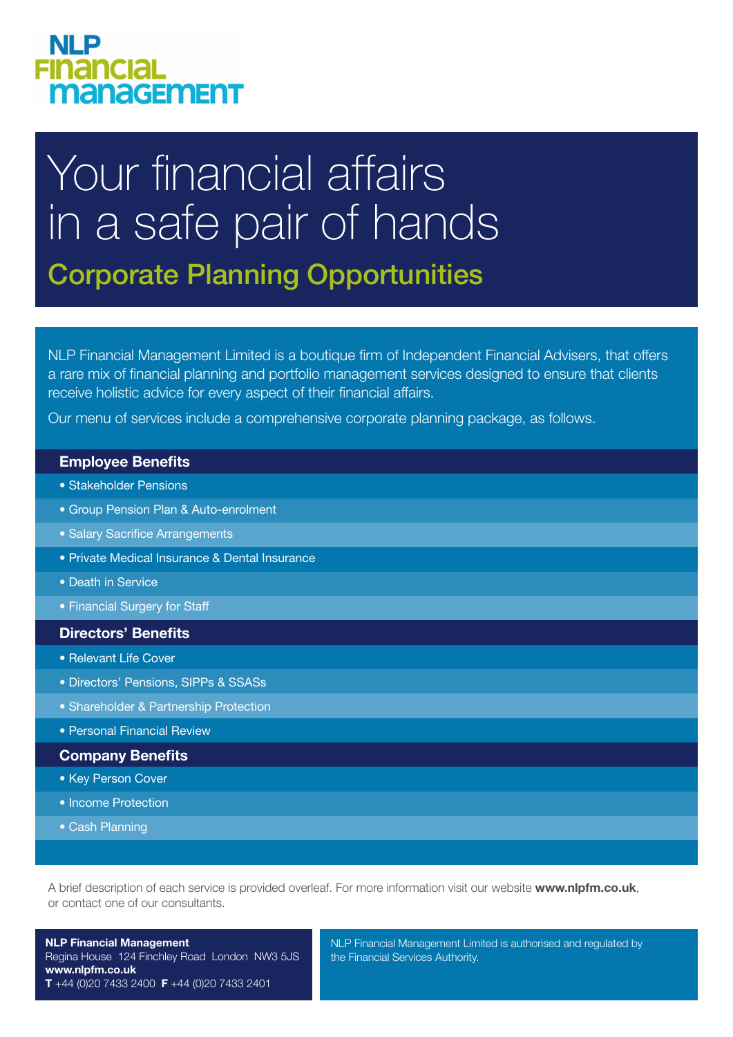# **NLP FINANCIAL** management

# Your financial affairs in a safe pair of hands Corporate Planning Opportunities

NLP Financial Management Limited is a boutique firm of Independent Financial Advisers, that offers a rare mix of financial planning and portfolio management services designed to ensure that clients receive holistic advice for every aspect of their financial affairs.

Our menu of services include a comprehensive corporate planning package, as follows.

### **Employee Benefits**

- Stakeholder Pensions
- Group Pension Plan & Auto-enrolment
- Salary Sacrifice Arrangements
- Private Medical Insurance & Dental Insurance
- Death in Service
- Financial Surgery for Staff

## **Directors' Benefits**

- Relevant Life Cover
- Directors' Pensions, SIPPs & SSASs
- Shareholder & Partnership Protection
- Personal Financial Review

#### **Company Benefits**

- Key Person Cover
- Income Protection
- Cash Planning

A brief description of each service is provided overleaf. For more information visit our website **www.nlpfm.co.uk**, or contact one of our consultants.

**NLP Financial Management** Regina House 124 Finchley Road London NW3 5JS **www.nlpfm.co.uk T** +44 (0)20 7433 2400 **F** +44 (0)20 7433 2401

NLP Financial Management Limited is authorised and regulated by the Financial Services Authority.